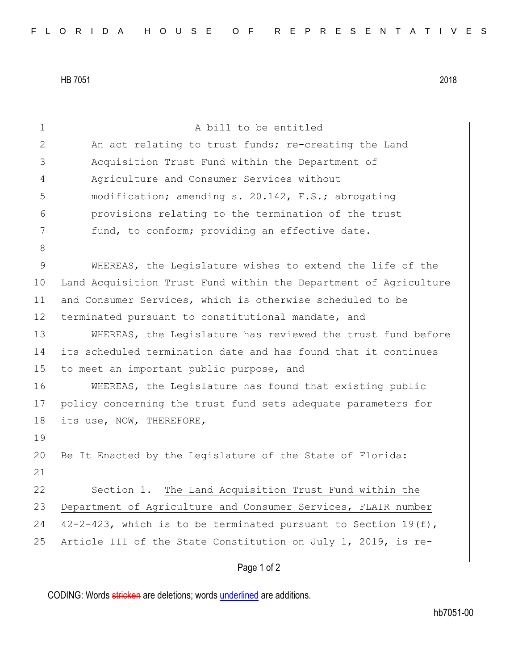HB 7051 2018

| $\mathbf 1$    | A bill to be entitled                                            |
|----------------|------------------------------------------------------------------|
| $\mathbf{2}$   | An act relating to trust funds; re-creating the Land             |
| 3              | Acquisition Trust Fund within the Department of                  |
| $\overline{4}$ | Agriculture and Consumer Services without                        |
| 5              | modification; amending s. 20.142, F.S.; abrogating               |
| 6              | provisions relating to the termination of the trust              |
| 7              | fund, to conform; providing an effective date.                   |
| 8              |                                                                  |
| 9              | WHEREAS, the Legislature wishes to extend the life of the        |
| 10             | Land Acquisition Trust Fund within the Department of Agriculture |
| 11             | and Consumer Services, which is otherwise scheduled to be        |
| 12             | terminated pursuant to constitutional mandate, and               |
| 13             | WHEREAS, the Legislature has reviewed the trust fund before      |
| 14             | its scheduled termination date and has found that it continues   |
| 15             | to meet an important public purpose, and                         |
| 16             | WHEREAS, the Legislature has found that existing public          |
| 17             | policy concerning the trust fund sets adequate parameters for    |
| 18             | its use, NOW, THEREFORE,                                         |
| 19             |                                                                  |
| 20             | Be It Enacted by the Legislature of the State of Florida:        |
| 21             |                                                                  |
| 22             | Section 1. The Land Acquisition Trust Fund within the            |
| 23             | Department of Agriculture and Consumer Services, FLAIR number    |
| 24             | 42-2-423, which is to be terminated pursuant to Section 19(f),   |
| $25$           | Article III of the State Constitution on July 1, 2019, is re-    |
|                |                                                                  |

## Page 1 of 2

CODING: Words stricken are deletions; words underlined are additions.